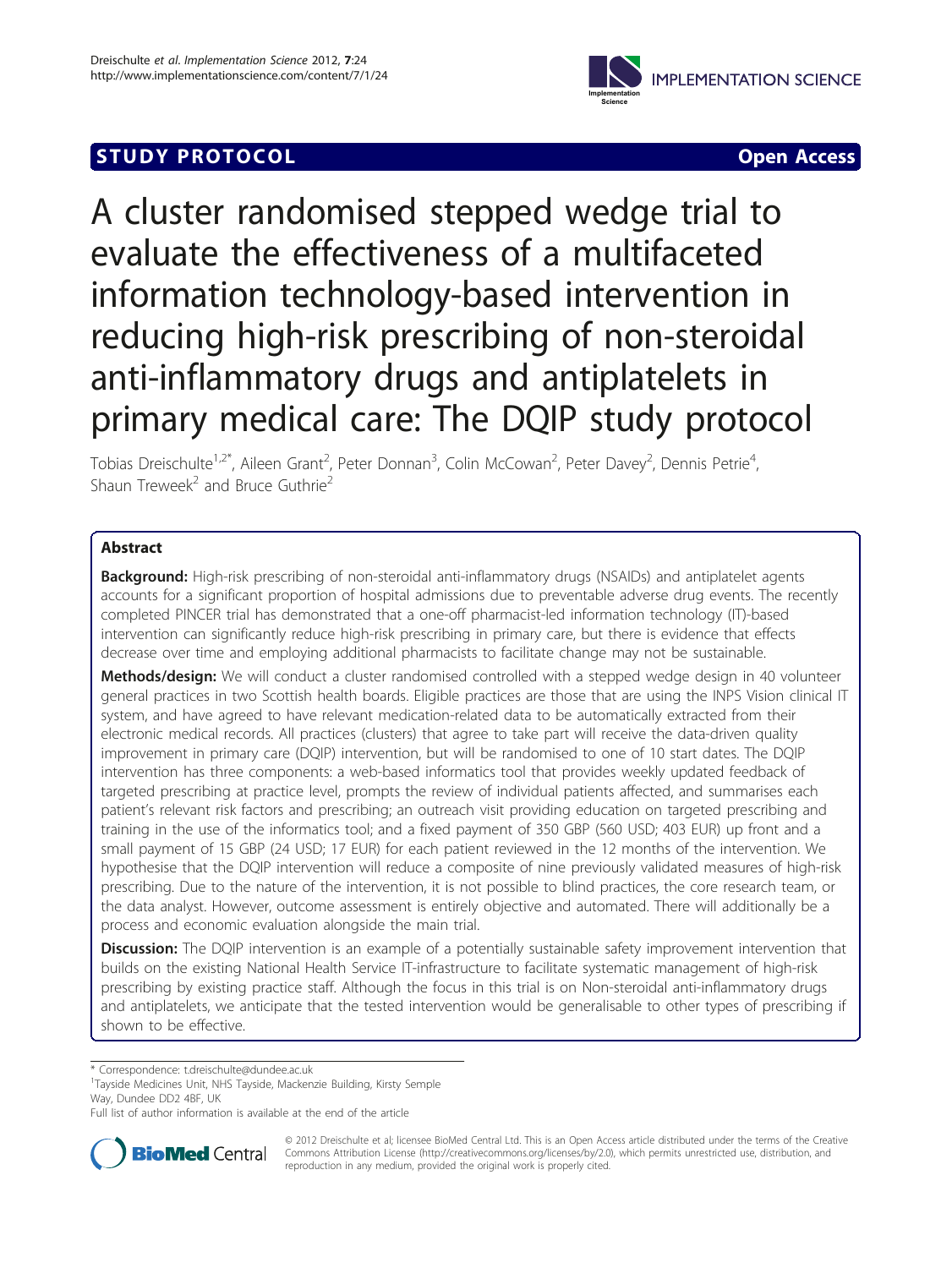# **STUDY PROTOCOL CONSUMING THE CONSUMING OPEN ACCESS**



A cluster randomised stepped wedge trial to evaluate the effectiveness of a multifaceted information technology-based intervention in reducing high-risk prescribing of non-steroidal anti-inflammatory drugs and antiplatelets in primary medical care: The DQIP study protocol

Tobias Dreischulte<sup>1,2\*</sup>, Aileen Grant<sup>2</sup>, Peter Donnan<sup>3</sup>, Colin McCowan<sup>2</sup>, Peter Davey<sup>2</sup>, Dennis Petrie<sup>4</sup> , Shaun Treweek<sup>2</sup> and Bruce Guthrie<sup>2</sup>

# Abstract

Background: High-risk prescribing of non-steroidal anti-inflammatory drugs (NSAIDs) and antiplatelet agents accounts for a significant proportion of hospital admissions due to preventable adverse drug events. The recently completed PINCER trial has demonstrated that a one-off pharmacist-led information technology (IT)-based intervention can significantly reduce high-risk prescribing in primary care, but there is evidence that effects decrease over time and employing additional pharmacists to facilitate change may not be sustainable.

Methods/design: We will conduct a cluster randomised controlled with a stepped wedge design in 40 volunteer general practices in two Scottish health boards. Eligible practices are those that are using the INPS Vision clinical IT system, and have agreed to have relevant medication-related data to be automatically extracted from their electronic medical records. All practices (clusters) that agree to take part will receive the data-driven quality improvement in primary care (DQIP) intervention, but will be randomised to one of 10 start dates. The DQIP intervention has three components: a web-based informatics tool that provides weekly updated feedback of targeted prescribing at practice level, prompts the review of individual patients affected, and summarises each patient's relevant risk factors and prescribing; an outreach visit providing education on targeted prescribing and training in the use of the informatics tool; and a fixed payment of 350 GBP (560 USD; 403 EUR) up front and a small payment of 15 GBP (24 USD; 17 EUR) for each patient reviewed in the 12 months of the intervention. We hypothesise that the DQIP intervention will reduce a composite of nine previously validated measures of high-risk prescribing. Due to the nature of the intervention, it is not possible to blind practices, the core research team, or the data analyst. However, outcome assessment is entirely objective and automated. There will additionally be a process and economic evaluation alongside the main trial.

**Discussion:** The DQIP intervention is an example of a potentially sustainable safety improvement intervention that builds on the existing National Health Service IT-infrastructure to facilitate systematic management of high-risk prescribing by existing practice staff. Although the focus in this trial is on Non-steroidal anti-inflammatory drugs and antiplatelets, we anticipate that the tested intervention would be generalisable to other types of prescribing if shown to be effective.

Full list of author information is available at the end of the article



© 2012 Dreischulte et al; licensee BioMed Central Ltd. This is an Open Access article distributed under the terms of the Creative Commons Attribution License [\(http://creativecommons.org/licenses/by/2.0](http://creativecommons.org/licenses/by/2.0)), which permits unrestricted use, distribution, and reproduction in any medium, provided the original work is properly cited.

<sup>\*</sup> Correspondence: [t.dreischulte@dundee.ac.uk](mailto:t.dreischulte@dundee.ac.uk)

<sup>&</sup>lt;sup>1</sup>Tayside Medicines Unit, NHS Tayside, Mackenzie Building, Kirsty Semple Way, Dundee DD2 4BF, UK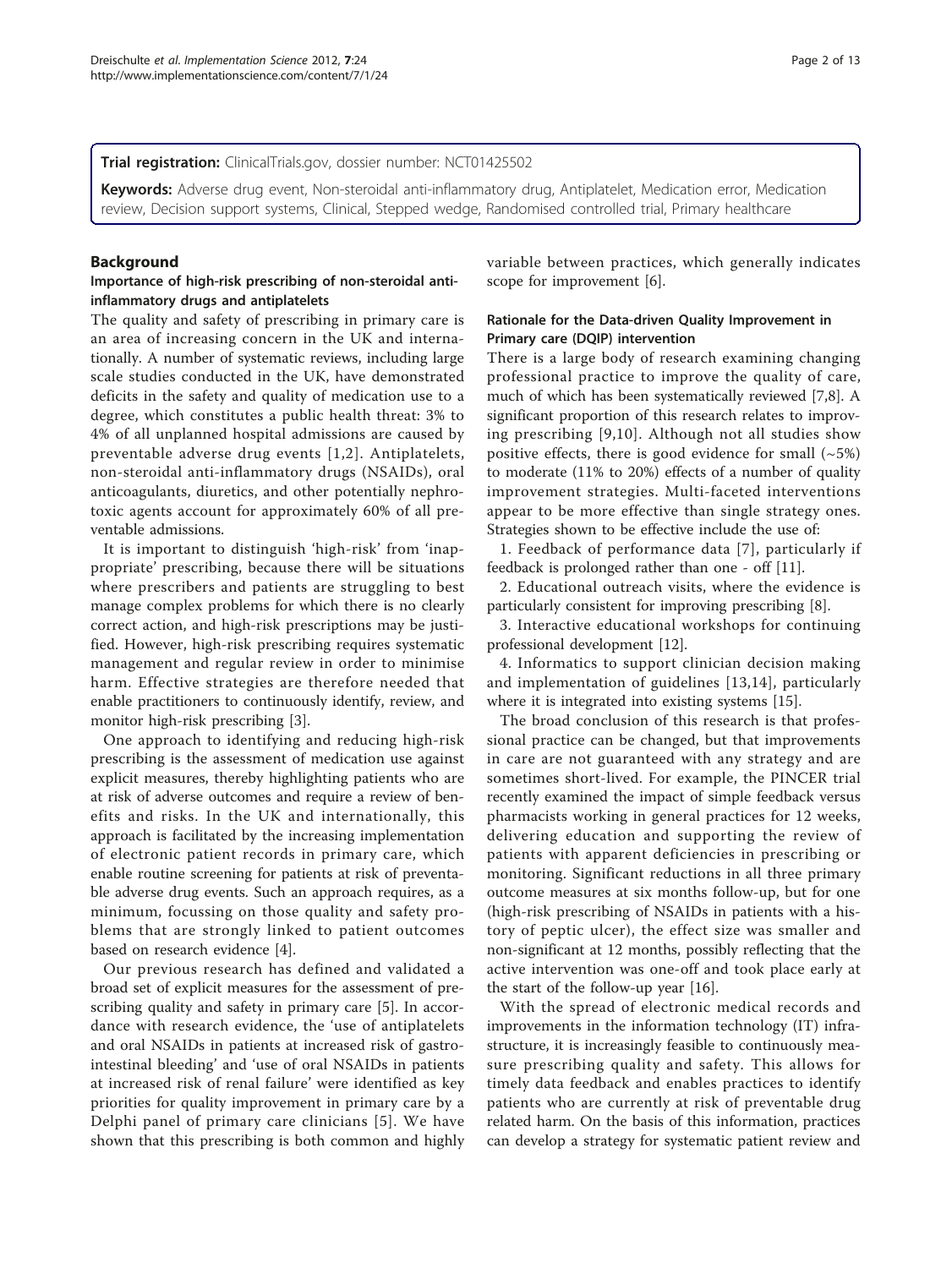Trial registration: ClinicalTrials.gov, dossier number: [NCT01425502](http://www.clinicaltrials.gov/ct2/show/NCT01425502)

Keywords: Adverse drug event, Non-steroidal anti-inflammatory drug, Antiplatelet, Medication error, Medication review, Decision support systems, Clinical, Stepped wedge, Randomised controlled trial, Primary healthcare

### **Background**

### Importance of high-risk prescribing of non-steroidal antiinflammatory drugs and antiplatelets

The quality and safety of prescribing in primary care is an area of increasing concern in the UK and internationally. A number of systematic reviews, including large scale studies conducted in the UK, have demonstrated deficits in the safety and quality of medication use to a degree, which constitutes a public health threat: 3% to 4% of all unplanned hospital admissions are caused by preventable adverse drug events [[1,2\]](#page-11-0). Antiplatelets, non-steroidal anti-inflammatory drugs (NSAIDs), oral anticoagulants, diuretics, and other potentially nephrotoxic agents account for approximately 60% of all preventable admissions.

It is important to distinguish 'high-risk' from 'inappropriate' prescribing, because there will be situations where prescribers and patients are struggling to best manage complex problems for which there is no clearly correct action, and high-risk prescriptions may be justified. However, high-risk prescribing requires systematic management and regular review in order to minimise harm. Effective strategies are therefore needed that enable practitioners to continuously identify, review, and monitor high-risk prescribing [\[3\]](#page-11-0).

One approach to identifying and reducing high-risk prescribing is the assessment of medication use against explicit measures, thereby highlighting patients who are at risk of adverse outcomes and require a review of benefits and risks. In the UK and internationally, this approach is facilitated by the increasing implementation of electronic patient records in primary care, which enable routine screening for patients at risk of preventable adverse drug events. Such an approach requires, as a minimum, focussing on those quality and safety problems that are strongly linked to patient outcomes based on research evidence [\[4\]](#page-11-0).

Our previous research has defined and validated a broad set of explicit measures for the assessment of prescribing quality and safety in primary care [\[5](#page-11-0)]. In accordance with research evidence, the 'use of antiplatelets and oral NSAIDs in patients at increased risk of gastrointestinal bleeding' and 'use of oral NSAIDs in patients at increased risk of renal failure' were identified as key priorities for quality improvement in primary care by a Delphi panel of primary care clinicians [\[5\]](#page-11-0). We have shown that this prescribing is both common and highly variable between practices, which generally indicates scope for improvement [\[6](#page-11-0)].

### Rationale for the Data-driven Quality Improvement in Primary care (DQIP) intervention

There is a large body of research examining changing professional practice to improve the quality of care, much of which has been systematically reviewed [\[7,8](#page-11-0)]. A significant proportion of this research relates to improving prescribing [[9](#page-11-0),[10](#page-11-0)]. Although not all studies show positive effects, there is good evidence for small  $(-5%)$ to moderate (11% to 20%) effects of a number of quality improvement strategies. Multi-faceted interventions appear to be more effective than single strategy ones. Strategies shown to be effective include the use of:

1. Feedback of performance data [\[7\]](#page-11-0), particularly if feedback is prolonged rather than one - off [[11\]](#page-11-0).

2. Educational outreach visits, where the evidence is particularly consistent for improving prescribing [[8\]](#page-11-0).

3. Interactive educational workshops for continuing professional development [\[12](#page-11-0)].

4. Informatics to support clinician decision making and implementation of guidelines [[13,](#page-11-0)[14](#page-12-0)], particularly where it is integrated into existing systems [[15\]](#page-12-0).

The broad conclusion of this research is that professional practice can be changed, but that improvements in care are not guaranteed with any strategy and are sometimes short-lived. For example, the PINCER trial recently examined the impact of simple feedback versus pharmacists working in general practices for 12 weeks, delivering education and supporting the review of patients with apparent deficiencies in prescribing or monitoring. Significant reductions in all three primary outcome measures at six months follow-up, but for one (high-risk prescribing of NSAIDs in patients with a history of peptic ulcer), the effect size was smaller and non-significant at 12 months, possibly reflecting that the active intervention was one-off and took place early at the start of the follow-up year [[16\]](#page-12-0).

With the spread of electronic medical records and improvements in the information technology (IT) infrastructure, it is increasingly feasible to continuously measure prescribing quality and safety. This allows for timely data feedback and enables practices to identify patients who are currently at risk of preventable drug related harm. On the basis of this information, practices can develop a strategy for systematic patient review and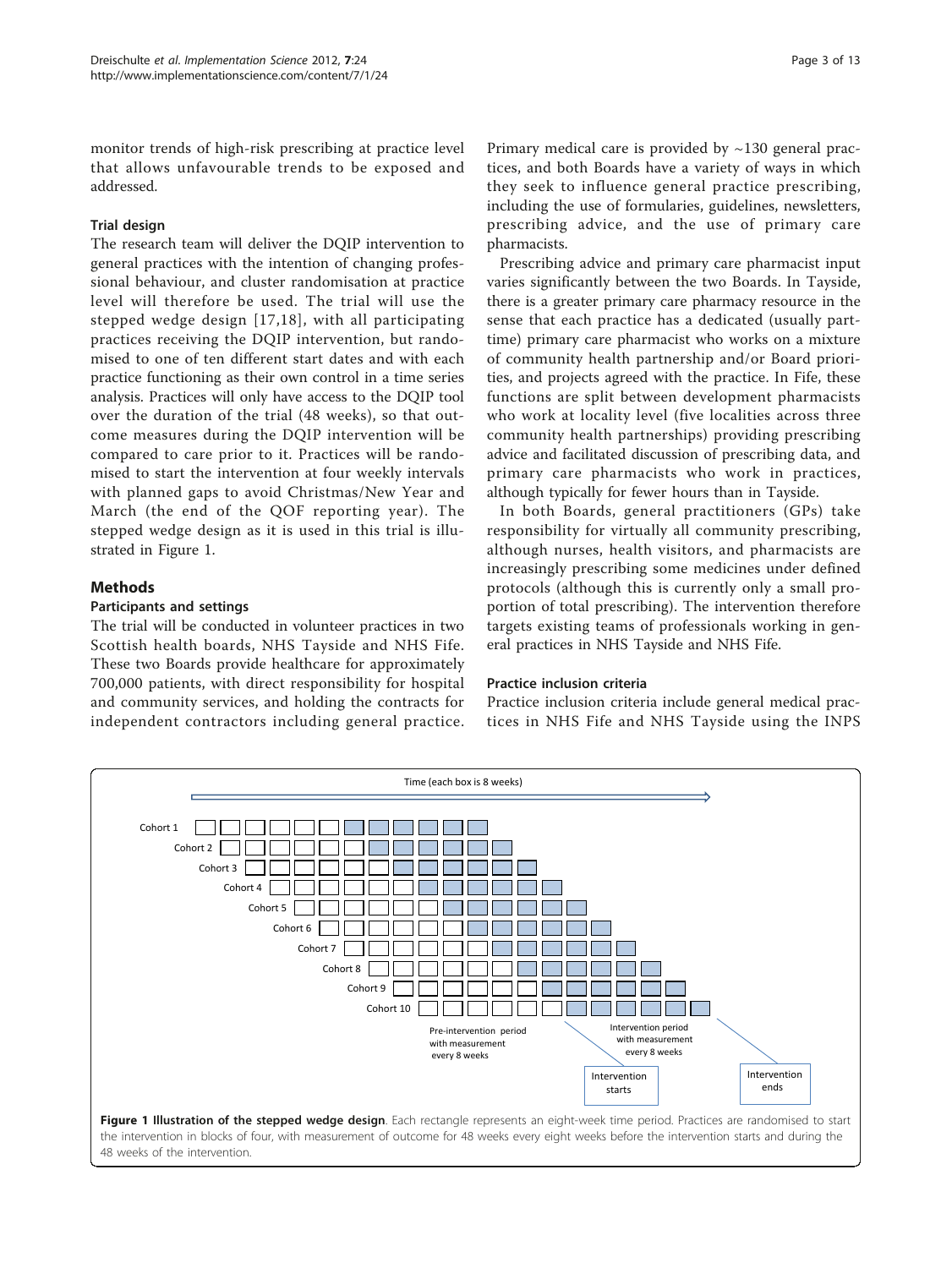monitor trends of high-risk prescribing at practice level that allows unfavourable trends to be exposed and addressed.

### Trial design

The research team will deliver the DQIP intervention to general practices with the intention of changing professional behaviour, and cluster randomisation at practice level will therefore be used. The trial will use the stepped wedge design [[17,18](#page-12-0)], with all participating practices receiving the DQIP intervention, but randomised to one of ten different start dates and with each practice functioning as their own control in a time series analysis. Practices will only have access to the DQIP tool over the duration of the trial (48 weeks), so that outcome measures during the DQIP intervention will be compared to care prior to it. Practices will be randomised to start the intervention at four weekly intervals with planned gaps to avoid Christmas/New Year and March (the end of the QOF reporting year). The stepped wedge design as it is used in this trial is illustrated in Figure 1.

# Methods

## Participants and settings

The trial will be conducted in volunteer practices in two Scottish health boards, NHS Tayside and NHS Fife. These two Boards provide healthcare for approximately 700,000 patients, with direct responsibility for hospital and community services, and holding the contracts for independent contractors including general practice.

Primary medical care is provided by  $\sim$ 130 general practices, and both Boards have a variety of ways in which they seek to influence general practice prescribing, including the use of formularies, guidelines, newsletters, prescribing advice, and the use of primary care pharmacists.

Prescribing advice and primary care pharmacist input varies significantly between the two Boards. In Tayside, there is a greater primary care pharmacy resource in the sense that each practice has a dedicated (usually parttime) primary care pharmacist who works on a mixture of community health partnership and/or Board priorities, and projects agreed with the practice. In Fife, these functions are split between development pharmacists who work at locality level (five localities across three community health partnerships) providing prescribing advice and facilitated discussion of prescribing data, and primary care pharmacists who work in practices, although typically for fewer hours than in Tayside.

In both Boards, general practitioners (GPs) take responsibility for virtually all community prescribing, although nurses, health visitors, and pharmacists are increasingly prescribing some medicines under defined protocols (although this is currently only a small proportion of total prescribing). The intervention therefore targets existing teams of professionals working in general practices in NHS Tayside and NHS Fife.

### Practice inclusion criteria

Practice inclusion criteria include general medical practices in NHS Fife and NHS Tayside using the INPS

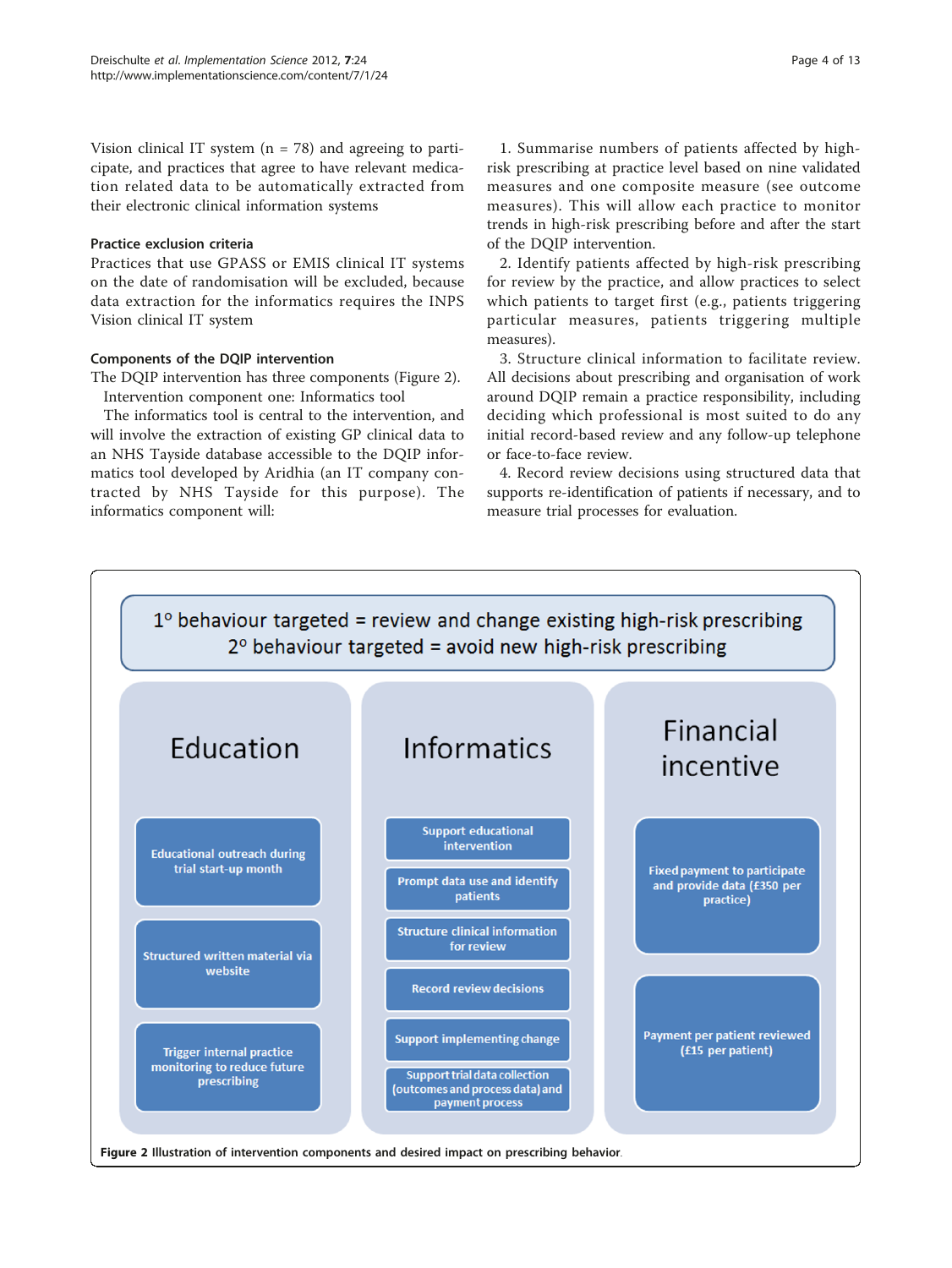Vision clinical IT system  $(n = 78)$  and agreeing to participate, and practices that agree to have relevant medication related data to be automatically extracted from their electronic clinical information systems

### Practice exclusion criteria

Practices that use GPASS or EMIS clinical IT systems on the date of randomisation will be excluded, because data extraction for the informatics requires the INPS Vision clinical IT system

### Components of the DQIP intervention

The DQIP intervention has three components (Figure 2). Intervention component one: Informatics tool

The informatics tool is central to the intervention, and will involve the extraction of existing GP clinical data to an NHS Tayside database accessible to the DQIP informatics tool developed by Aridhia (an IT company contracted by NHS Tayside for this purpose). The informatics component will:

1. Summarise numbers of patients affected by highrisk prescribing at practice level based on nine validated measures and one composite measure (see outcome measures). This will allow each practice to monitor trends in high-risk prescribing before and after the start of the DQIP intervention.

2. Identify patients affected by high-risk prescribing for review by the practice, and allow practices to select which patients to target first (e.g., patients triggering particular measures, patients triggering multiple measures).

3. Structure clinical information to facilitate review. All decisions about prescribing and organisation of work around DQIP remain a practice responsibility, including deciding which professional is most suited to do any initial record-based review and any follow-up telephone or face-to-face review.

4. Record review decisions using structured data that supports re-identification of patients if necessary, and to measure trial processes for evaluation.

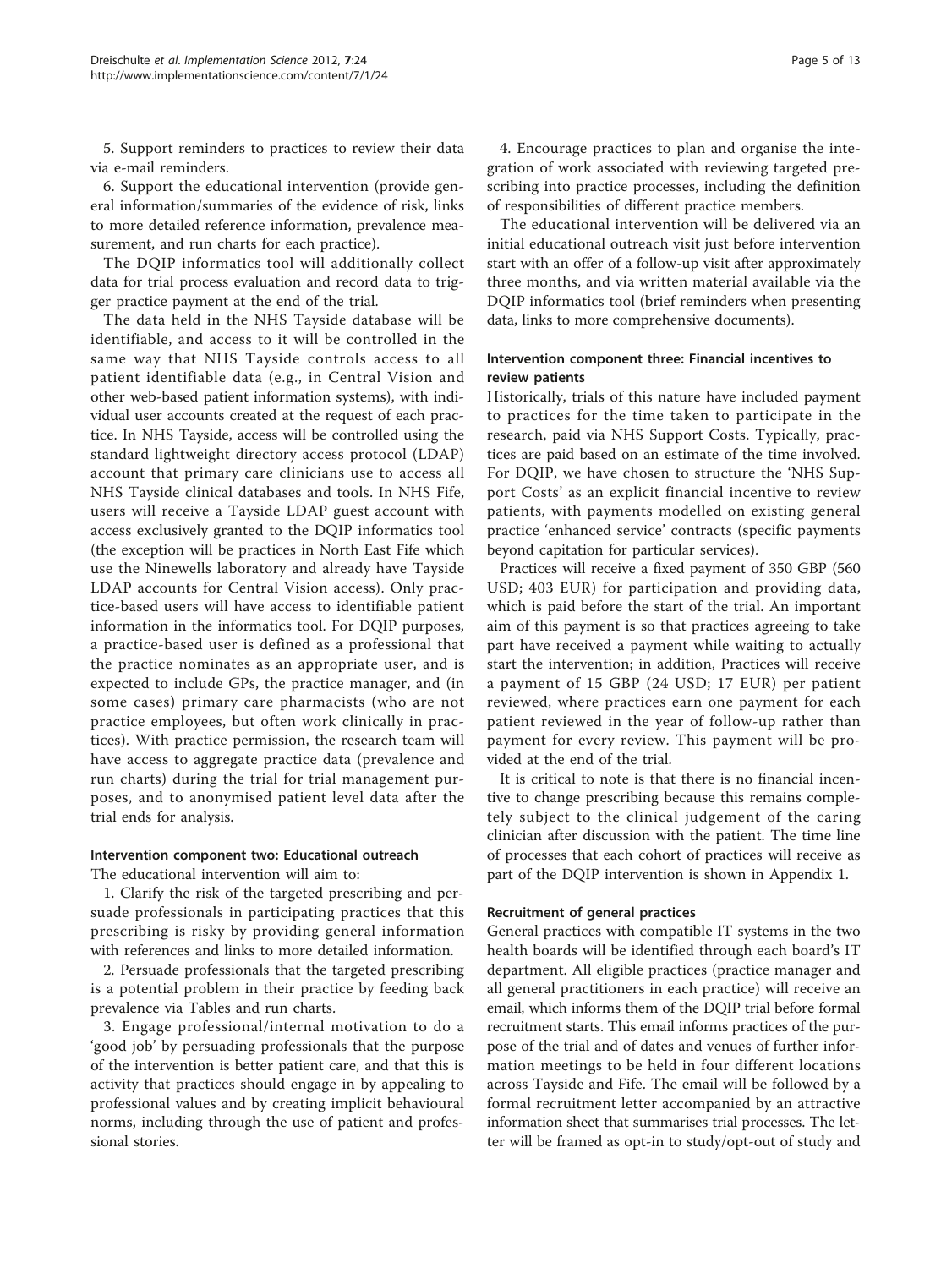5. Support reminders to practices to review their data via e-mail reminders.

6. Support the educational intervention (provide general information/summaries of the evidence of risk, links to more detailed reference information, prevalence measurement, and run charts for each practice).

The DQIP informatics tool will additionally collect data for trial process evaluation and record data to trigger practice payment at the end of the trial.

The data held in the NHS Tayside database will be identifiable, and access to it will be controlled in the same way that NHS Tayside controls access to all patient identifiable data (e.g., in Central Vision and other web-based patient information systems), with individual user accounts created at the request of each practice. In NHS Tayside, access will be controlled using the standard lightweight directory access protocol (LDAP) account that primary care clinicians use to access all NHS Tayside clinical databases and tools. In NHS Fife, users will receive a Tayside LDAP guest account with access exclusively granted to the DQIP informatics tool (the exception will be practices in North East Fife which use the Ninewells laboratory and already have Tayside LDAP accounts for Central Vision access). Only practice-based users will have access to identifiable patient information in the informatics tool. For DQIP purposes, a practice-based user is defined as a professional that the practice nominates as an appropriate user, and is expected to include GPs, the practice manager, and (in some cases) primary care pharmacists (who are not practice employees, but often work clinically in practices). With practice permission, the research team will have access to aggregate practice data (prevalence and run charts) during the trial for trial management purposes, and to anonymised patient level data after the trial ends for analysis.

### Intervention component two: Educational outreach The educational intervention will aim to:

1. Clarify the risk of the targeted prescribing and persuade professionals in participating practices that this prescribing is risky by providing general information with references and links to more detailed information.

2. Persuade professionals that the targeted prescribing is a potential problem in their practice by feeding back prevalence via Tables and run charts.

3. Engage professional/internal motivation to do a 'good job' by persuading professionals that the purpose of the intervention is better patient care, and that this is activity that practices should engage in by appealing to professional values and by creating implicit behavioural norms, including through the use of patient and professional stories.

4. Encourage practices to plan and organise the integration of work associated with reviewing targeted prescribing into practice processes, including the definition of responsibilities of different practice members.

The educational intervention will be delivered via an initial educational outreach visit just before intervention start with an offer of a follow-up visit after approximately three months, and via written material available via the DQIP informatics tool (brief reminders when presenting data, links to more comprehensive documents).

### Intervention component three: Financial incentives to review patients

Historically, trials of this nature have included payment to practices for the time taken to participate in the research, paid via NHS Support Costs. Typically, practices are paid based on an estimate of the time involved. For DQIP, we have chosen to structure the 'NHS Support Costs' as an explicit financial incentive to review patients, with payments modelled on existing general practice 'enhanced service' contracts (specific payments beyond capitation for particular services).

Practices will receive a fixed payment of 350 GBP (560 USD; 403 EUR) for participation and providing data, which is paid before the start of the trial. An important aim of this payment is so that practices agreeing to take part have received a payment while waiting to actually start the intervention; in addition, Practices will receive a payment of 15 GBP (24 USD; 17 EUR) per patient reviewed, where practices earn one payment for each patient reviewed in the year of follow-up rather than payment for every review. This payment will be provided at the end of the trial.

It is critical to note is that there is no financial incentive to change prescribing because this remains completely subject to the clinical judgement of the caring clinician after discussion with the patient. The time line of processes that each cohort of practices will receive as part of the DQIP intervention is shown in Appendix 1.

### Recruitment of general practices

General practices with compatible IT systems in the two health boards will be identified through each board's IT department. All eligible practices (practice manager and all general practitioners in each practice) will receive an email, which informs them of the DQIP trial before formal recruitment starts. This email informs practices of the purpose of the trial and of dates and venues of further information meetings to be held in four different locations across Tayside and Fife. The email will be followed by a formal recruitment letter accompanied by an attractive information sheet that summarises trial processes. The letter will be framed as opt-in to study/opt-out of study and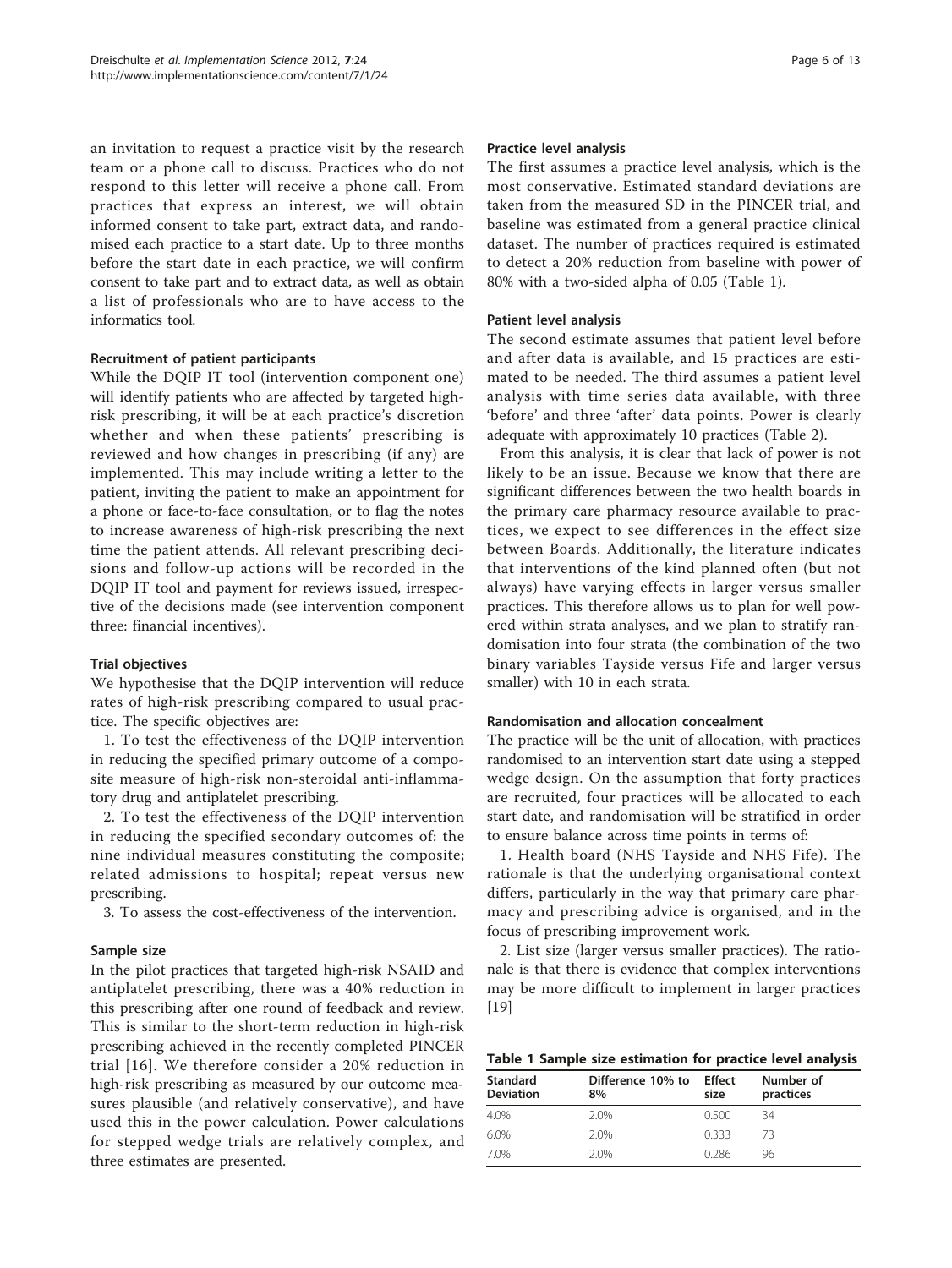an invitation to request a practice visit by the research team or a phone call to discuss. Practices who do not respond to this letter will receive a phone call. From practices that express an interest, we will obtain informed consent to take part, extract data, and randomised each practice to a start date. Up to three months before the start date in each practice, we will confirm consent to take part and to extract data, as well as obtain a list of professionals who are to have access to the informatics tool.

### Recruitment of patient participants

While the DQIP IT tool (intervention component one) will identify patients who are affected by targeted highrisk prescribing, it will be at each practice's discretion whether and when these patients' prescribing is reviewed and how changes in prescribing (if any) are implemented. This may include writing a letter to the patient, inviting the patient to make an appointment for a phone or face-to-face consultation, or to flag the notes to increase awareness of high-risk prescribing the next time the patient attends. All relevant prescribing decisions and follow-up actions will be recorded in the DQIP IT tool and payment for reviews issued, irrespective of the decisions made (see intervention component three: financial incentives).

### Trial objectives

We hypothesise that the DQIP intervention will reduce rates of high-risk prescribing compared to usual practice. The specific objectives are:

1. To test the effectiveness of the DQIP intervention in reducing the specified primary outcome of a composite measure of high-risk non-steroidal anti-inflammatory drug and antiplatelet prescribing.

2. To test the effectiveness of the DQIP intervention in reducing the specified secondary outcomes of: the nine individual measures constituting the composite; related admissions to hospital; repeat versus new prescribing.

3. To assess the cost-effectiveness of the intervention.

### Sample size

In the pilot practices that targeted high-risk NSAID and antiplatelet prescribing, there was a 40% reduction in this prescribing after one round of feedback and review. This is similar to the short-term reduction in high-risk prescribing achieved in the recently completed PINCER trial [[16\]](#page-12-0). We therefore consider a 20% reduction in high-risk prescribing as measured by our outcome measures plausible (and relatively conservative), and have used this in the power calculation. Power calculations for stepped wedge trials are relatively complex, and three estimates are presented.

### Practice level analysis

The first assumes a practice level analysis, which is the most conservative. Estimated standard deviations are taken from the measured SD in the PINCER trial, and baseline was estimated from a general practice clinical dataset. The number of practices required is estimated to detect a 20% reduction from baseline with power of 80% with a two-sided alpha of 0.05 (Table 1).

### Patient level analysis

The second estimate assumes that patient level before and after data is available, and 15 practices are estimated to be needed. The third assumes a patient level analysis with time series data available, with three 'before' and three 'after' data points. Power is clearly adequate with approximately 10 practices (Table [2\)](#page-6-0).

From this analysis, it is clear that lack of power is not likely to be an issue. Because we know that there are significant differences between the two health boards in the primary care pharmacy resource available to practices, we expect to see differences in the effect size between Boards. Additionally, the literature indicates that interventions of the kind planned often (but not always) have varying effects in larger versus smaller practices. This therefore allows us to plan for well powered within strata analyses, and we plan to stratify randomisation into four strata (the combination of the two binary variables Tayside versus Fife and larger versus smaller) with 10 in each strata.

### Randomisation and allocation concealment

The practice will be the unit of allocation, with practices randomised to an intervention start date using a stepped wedge design. On the assumption that forty practices are recruited, four practices will be allocated to each start date, and randomisation will be stratified in order to ensure balance across time points in terms of:

1. Health board (NHS Tayside and NHS Fife). The rationale is that the underlying organisational context differs, particularly in the way that primary care pharmacy and prescribing advice is organised, and in the focus of prescribing improvement work.

2. List size (larger versus smaller practices). The rationale is that there is evidence that complex interventions may be more difficult to implement in larger practices [[19\]](#page-12-0)

Table 1 Sample size estimation for practice level analysis

| Standard<br><b>Deviation</b> | Difference 10% to<br>8% | <b>Effect</b><br>size | Number of<br>practices |
|------------------------------|-------------------------|-----------------------|------------------------|
| 4.0%                         | 2.0%                    | 0.500                 | 34                     |
| 6.0%                         | 2.0%                    | 0.333                 | 73                     |
| 70%                          | 20%                     | 0.286                 | 96                     |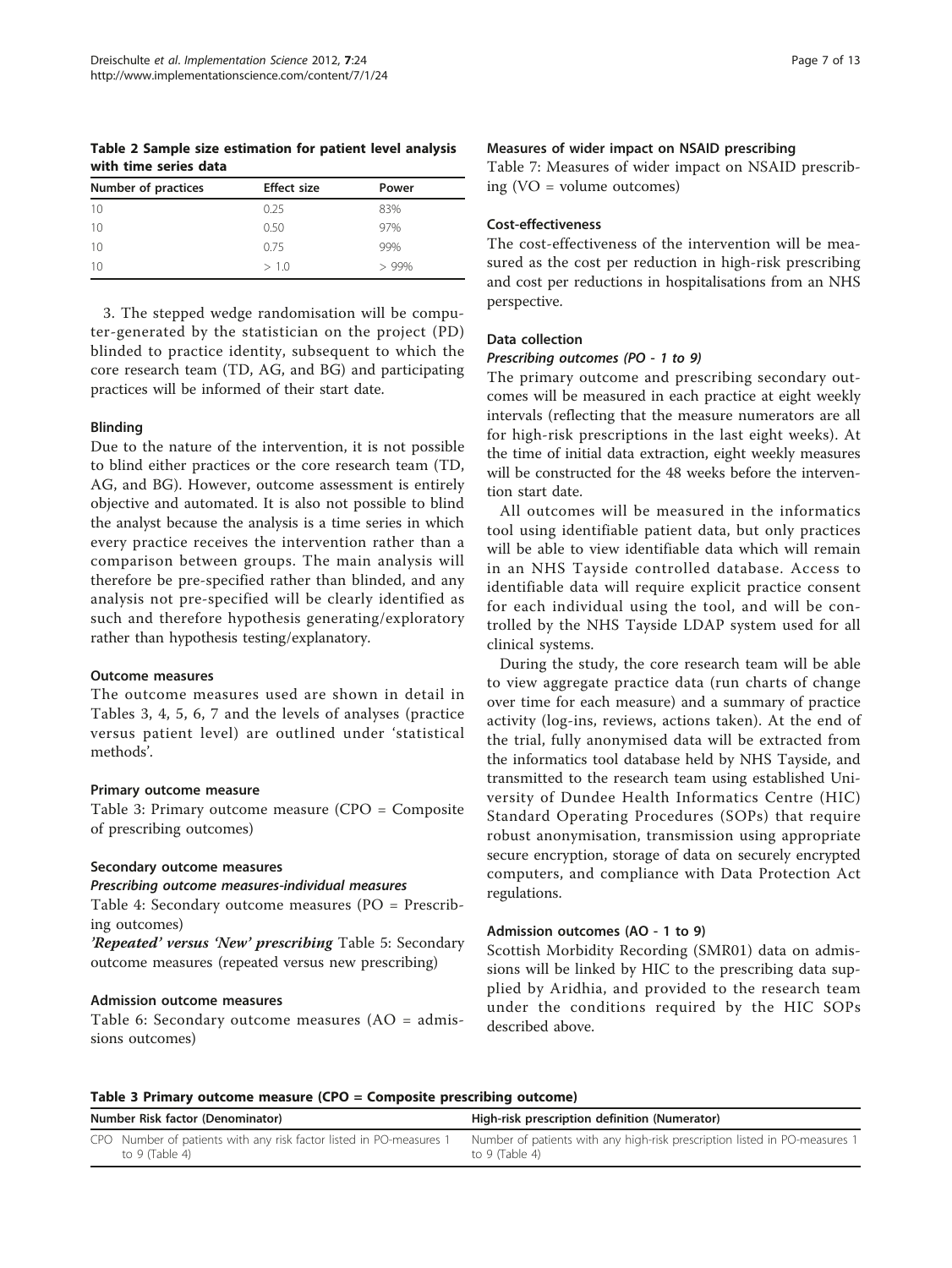<span id="page-6-0"></span>Table 2 Sample size estimation for patient level analysis with time series data

| Number of practices | <b>Effect size</b> | Power |
|---------------------|--------------------|-------|
| 10                  | 0.25               | 83%   |
| 10                  | 0.50               | 97%   |
| 10                  | 0.75               | 99%   |
| 10                  | >1.0               | >99%  |

3. The stepped wedge randomisation will be computer-generated by the statistician on the project (PD) blinded to practice identity, subsequent to which the core research team (TD, AG, and BG) and participating practices will be informed of their start date.

### Blinding

Due to the nature of the intervention, it is not possible to blind either practices or the core research team (TD, AG, and BG). However, outcome assessment is entirely objective and automated. It is also not possible to blind the analyst because the analysis is a time series in which every practice receives the intervention rather than a comparison between groups. The main analysis will therefore be pre-specified rather than blinded, and any analysis not pre-specified will be clearly identified as such and therefore hypothesis generating/exploratory rather than hypothesis testing/explanatory.

### Outcome measures

The outcome measures used are shown in detail in Tables 3, [4](#page-7-0), [5](#page-7-0), [6](#page-8-0), [7](#page-8-0) and the levels of analyses (practice versus patient level) are outlined under 'statistical methods'.

### Primary outcome measure

Table 3: Primary outcome measure (CPO = Composite of prescribing outcomes)

### Secondary outcome measures

### Prescribing outcome measures-individual measures

Table [4:](#page-7-0) Secondary outcome measures (PO = Prescribing outcomes)

'Repeated' versus 'New' prescribing Table [5:](#page-7-0) Secondary outcome measures (repeated versus new prescribing)

### Admission outcome measures

Table [6:](#page-8-0) Secondary outcome measures (AO = admissions outcomes)

### Measures of wider impact on NSAID prescribing

Table [7](#page-8-0): Measures of wider impact on NSAID prescribing (VO = volume outcomes)

### Cost-effectiveness

The cost-effectiveness of the intervention will be measured as the cost per reduction in high-risk prescribing and cost per reductions in hospitalisations from an NHS perspective.

### Data collection

### Prescribing outcomes (PO - 1 to 9)

The primary outcome and prescribing secondary outcomes will be measured in each practice at eight weekly intervals (reflecting that the measure numerators are all for high-risk prescriptions in the last eight weeks). At the time of initial data extraction, eight weekly measures will be constructed for the 48 weeks before the intervention start date.

All outcomes will be measured in the informatics tool using identifiable patient data, but only practices will be able to view identifiable data which will remain in an NHS Tayside controlled database. Access to identifiable data will require explicit practice consent for each individual using the tool, and will be controlled by the NHS Tayside LDAP system used for all clinical systems.

During the study, the core research team will be able to view aggregate practice data (run charts of change over time for each measure) and a summary of practice activity (log-ins, reviews, actions taken). At the end of the trial, fully anonymised data will be extracted from the informatics tool database held by NHS Tayside, and transmitted to the research team using established University of Dundee Health Informatics Centre (HIC) Standard Operating Procedures (SOPs) that require robust anonymisation, transmission using appropriate secure encryption, storage of data on securely encrypted computers, and compliance with Data Protection Act regulations.

### Admission outcomes (AO - 1 to 9)

Scottish Morbidity Recording (SMR01) data on admissions will be linked by HIC to the prescribing data supplied by Aridhia, and provided to the research team under the conditions required by the HIC SOPs described above.

### Table 3 Primary outcome measure (CPO = Composite prescribing outcome)

| Number Risk factor (Denominator) |                                                                                       | High-risk prescription definition (Numerator)                                                |  |
|----------------------------------|---------------------------------------------------------------------------------------|----------------------------------------------------------------------------------------------|--|
|                                  | CPO Number of patients with any risk factor listed in PO-measures 1<br>to 9 (Table 4) | Number of patients with any high-risk prescription listed in PO-measures 1<br>to 9 (Table 4) |  |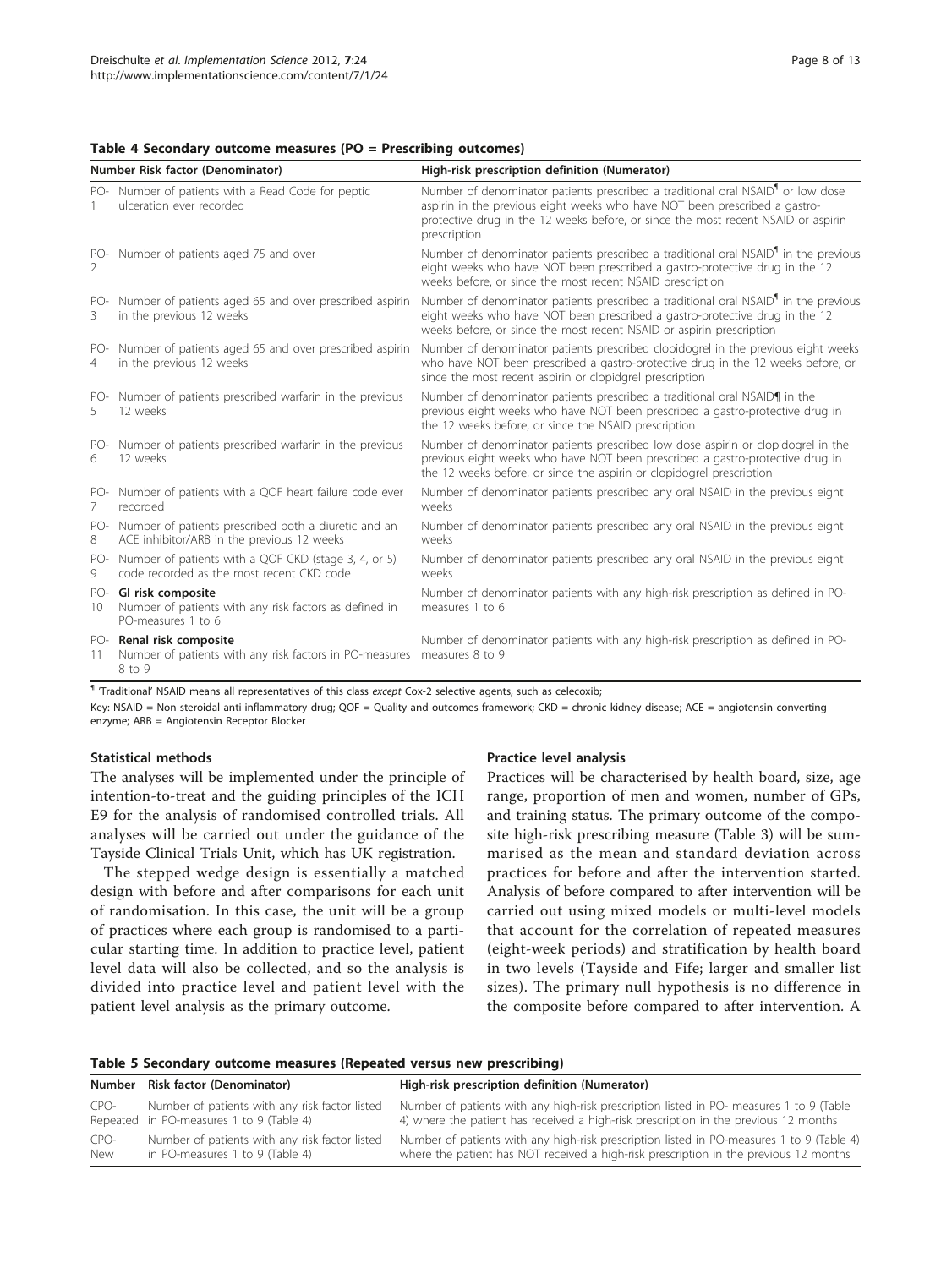#### <span id="page-7-0"></span>Table 4 Secondary outcome measures (PO = Prescribing outcomes)

| Number Risk factor (Denominator) |                                                                                                        | High-risk prescription definition (Numerator)                                                                                                                                                                                                                                  |  |
|----------------------------------|--------------------------------------------------------------------------------------------------------|--------------------------------------------------------------------------------------------------------------------------------------------------------------------------------------------------------------------------------------------------------------------------------|--|
|                                  | PO- Number of patients with a Read Code for peptic<br>ulceration ever recorded                         | Number of denominator patients prescribed a traditional oral NSAID <sup>1</sup> or low dose<br>aspirin in the previous eight weeks who have NOT been prescribed a gastro-<br>protective drug in the 12 weeks before, or since the most recent NSAID or aspirin<br>prescription |  |
|                                  | PO- Number of patients aged 75 and over                                                                | Number of denominator patients prescribed a traditional oral NSAID <sup>4</sup> in the previous<br>eight weeks who have NOT been prescribed a gastro-protective drug in the 12<br>weeks before, or since the most recent NSAID prescription                                    |  |
| 3                                | PO- Number of patients aged 65 and over prescribed aspirin<br>in the previous 12 weeks                 | Number of denominator patients prescribed a traditional oral NSAID <sup>1</sup> in the previous<br>eight weeks who have NOT been prescribed a gastro-protective drug in the 12<br>weeks before, or since the most recent NSAID or aspirin prescription                         |  |
| 4                                | PO- Number of patients aged 65 and over prescribed aspirin<br>in the previous 12 weeks                 | Number of denominator patients prescribed clopidogrel in the previous eight weeks<br>who have NOT been prescribed a gastro-protective drug in the 12 weeks before, or<br>since the most recent aspirin or clopidgrel prescription                                              |  |
| 5                                | PO- Number of patients prescribed warfarin in the previous<br>12 weeks                                 | Number of denominator patients prescribed a traditional oral NSAID¶ in the<br>previous eight weeks who have NOT been prescribed a gastro-protective drug in<br>the 12 weeks before, or since the NSAID prescription                                                            |  |
| 6                                | PO- Number of patients prescribed warfarin in the previous<br>12 weeks                                 | Number of denominator patients prescribed low dose aspirin or clopidogrel in the<br>previous eight weeks who have NOT been prescribed a gastro-protective drug in<br>the 12 weeks before, or since the aspirin or clopidogrel prescription                                     |  |
| 7                                | PO- Number of patients with a QOF heart failure code ever<br>recorded                                  | Number of denominator patients prescribed any oral NSAID in the previous eight<br>weeks                                                                                                                                                                                        |  |
| 8                                | PO- Number of patients prescribed both a diuretic and an<br>ACE inhibitor/ARB in the previous 12 weeks | Number of denominator patients prescribed any oral NSAID in the previous eight<br>weeks                                                                                                                                                                                        |  |
| 9                                | PO- Number of patients with a QOF CKD (stage 3, 4, or 5)<br>code recorded as the most recent CKD code  | Number of denominator patients prescribed any oral NSAID in the previous eight<br>weeks                                                                                                                                                                                        |  |
| 10 <sup>°</sup>                  | PO- GI risk composite<br>Number of patients with any risk factors as defined in<br>PO-measures 1 to 6  | Number of denominator patients with any high-risk prescription as defined in PO-<br>measures 1 to 6                                                                                                                                                                            |  |
| 11                               | PO- Renal risk composite<br>Number of patients with any risk factors in PO-measures<br>8 to 9          | Number of denominator patients with any high-risk prescription as defined in PO-<br>measures 8 to 9                                                                                                                                                                            |  |

 $\texttt{''}$  'Traditional' NSAID means all representatives of this class except Cox-2 selective agents, such as celecoxib;

Key: NSAID = Non-steroidal anti-inflammatory drug; QOF = Quality and outcomes framework; CKD = chronic kidney disease; ACE = angiotensin converting enzyme; ARB = Angiotensin Receptor Blocker

#### Statistical methods

The analyses will be implemented under the principle of intention-to-treat and the guiding principles of the ICH E9 for the analysis of randomised controlled trials. All analyses will be carried out under the guidance of the Tayside Clinical Trials Unit, which has UK registration.

The stepped wedge design is essentially a matched design with before and after comparisons for each unit of randomisation. In this case, the unit will be a group of practices where each group is randomised to a particular starting time. In addition to practice level, patient level data will also be collected, and so the analysis is divided into practice level and patient level with the patient level analysis as the primary outcome.

#### Practice level analysis

Practices will be characterised by health board, size, age range, proportion of men and women, number of GPs, and training status. The primary outcome of the composite high-risk prescribing measure (Table [3](#page-6-0)) will be summarised as the mean and standard deviation across practices for before and after the intervention started. Analysis of before compared to after intervention will be carried out using mixed models or multi-level models that account for the correlation of repeated measures (eight-week periods) and stratification by health board in two levels (Tayside and Fife; larger and smaller list sizes). The primary null hypothesis is no difference in the composite before compared to after intervention. A

| Table 5 Secondary outcome measures (Repeated versus new prescribing) |
|----------------------------------------------------------------------|
|----------------------------------------------------------------------|

| Number      | <b>Risk factor (Denominator)</b>                                                           | High-risk prescription definition (Numerator)                                                                                                                                      |
|-------------|--------------------------------------------------------------------------------------------|------------------------------------------------------------------------------------------------------------------------------------------------------------------------------------|
| CPO-        | Number of patients with any risk factor listed<br>Repeated in PO-measures 1 to 9 (Table 4) | Number of patients with any high-risk prescription listed in PO- measures 1 to 9 (Table<br>4) where the patient has received a high-risk prescription in the previous 12 months    |
| CPO-<br>New | Number of patients with any risk factor listed<br>in PO-measures 1 to 9 (Table 4)          | Number of patients with any high-risk prescription listed in PO-measures 1 to 9 (Table 4)<br>where the patient has NOT received a high-risk prescription in the previous 12 months |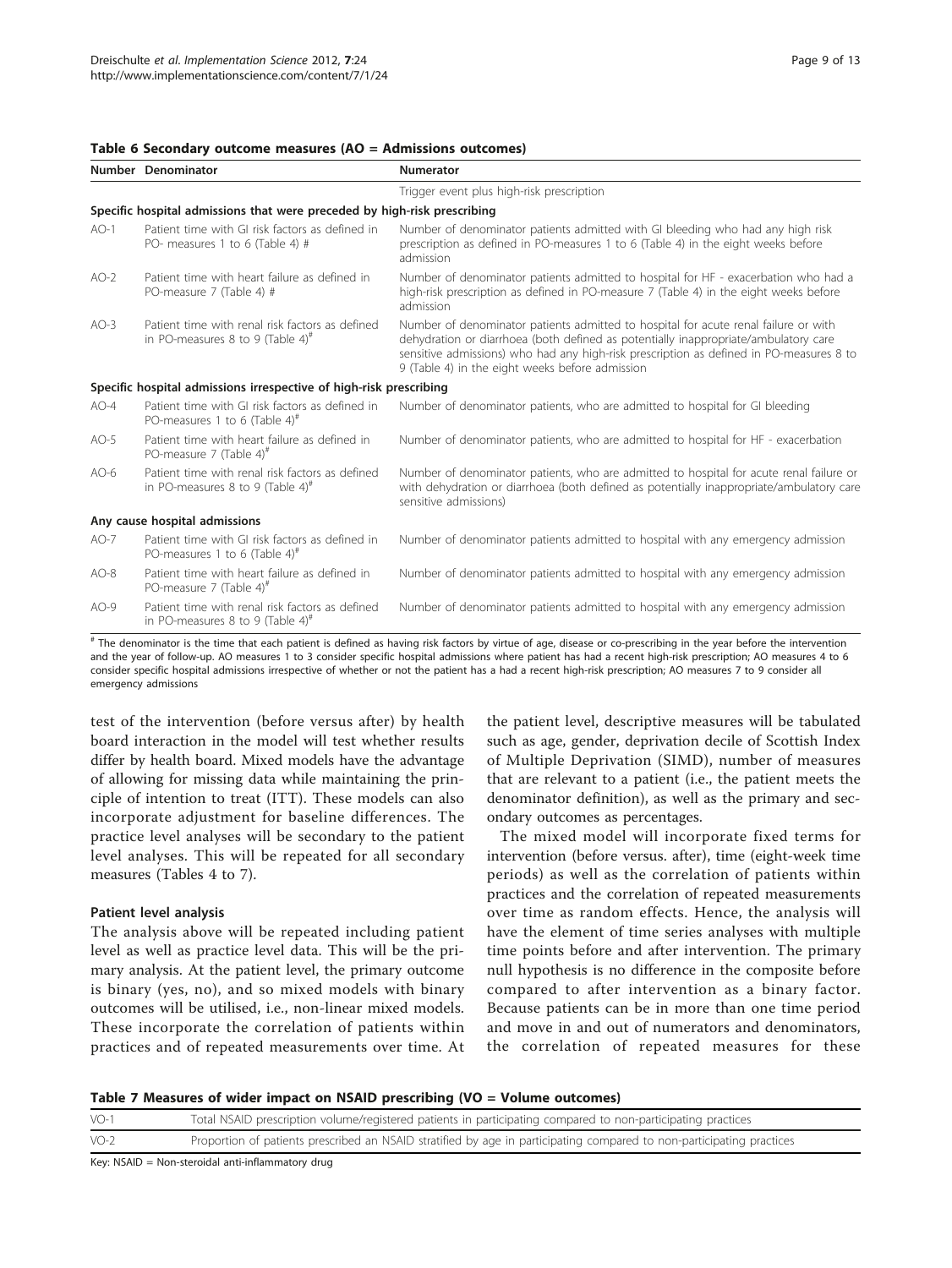<span id="page-8-0"></span>

|  | Table 6 Secondary outcome measures (AO = Admissions outcomes) |
|--|---------------------------------------------------------------|
|--|---------------------------------------------------------------|

|        | Number Denominator                                                                                 | <b>Numerator</b>                                                                                                                                                                                                                                                                                                         |
|--------|----------------------------------------------------------------------------------------------------|--------------------------------------------------------------------------------------------------------------------------------------------------------------------------------------------------------------------------------------------------------------------------------------------------------------------------|
|        |                                                                                                    | Trigger event plus high-risk prescription                                                                                                                                                                                                                                                                                |
|        | Specific hospital admissions that were preceded by high-risk prescribing                           |                                                                                                                                                                                                                                                                                                                          |
| $AO-1$ | Patient time with GI risk factors as defined in<br>PO- measures 1 to 6 (Table 4) #                 | Number of denominator patients admitted with GI bleeding who had any high risk<br>prescription as defined in PO-measures 1 to 6 (Table 4) in the eight weeks before<br>admission                                                                                                                                         |
| $AO-2$ | Patient time with heart failure as defined in<br>PO-measure 7 (Table 4) #                          | Number of denominator patients admitted to hospital for HF - exacerbation who had a<br>high-risk prescription as defined in PO-measure 7 (Table 4) in the eight weeks before<br>admission                                                                                                                                |
| $AO-3$ | Patient time with renal risk factors as defined<br>in PO-measures 8 to 9 (Table $4$ ) <sup>#</sup> | Number of denominator patients admitted to hospital for acute renal failure or with<br>dehydration or diarrhoea (both defined as potentially inappropriate/ambulatory care<br>sensitive admissions) who had any high-risk prescription as defined in PO-measures 8 to<br>9 (Table 4) in the eight weeks before admission |
|        | Specific hospital admissions irrespective of high-risk prescribing                                 |                                                                                                                                                                                                                                                                                                                          |
| $AO-4$ | Patient time with GI risk factors as defined in<br>PO-measures 1 to 6 (Table $4$ ) <sup>#</sup>    | Number of denominator patients, who are admitted to hospital for GI bleeding                                                                                                                                                                                                                                             |
| $AO-5$ | Patient time with heart failure as defined in<br>PO-measure 7 (Table $4$ ) <sup>#</sup>            | Number of denominator patients, who are admitted to hospital for HF - exacerbation                                                                                                                                                                                                                                       |
| $AO-6$ | Patient time with renal risk factors as defined<br>in PO-measures 8 to 9 (Table $4$ ) <sup>#</sup> | Number of denominator patients, who are admitted to hospital for acute renal failure or<br>with dehydration or diarrhoea (both defined as potentially inappropriate/ambulatory care<br>sensitive admissions)                                                                                                             |
|        | Any cause hospital admissions                                                                      |                                                                                                                                                                                                                                                                                                                          |
| $AO-7$ | Patient time with GI risk factors as defined in<br>PO-measures 1 to 6 (Table $4$ ) <sup>#</sup>    | Number of denominator patients admitted to hospital with any emergency admission                                                                                                                                                                                                                                         |
| $AO-8$ | Patient time with heart failure as defined in<br>PO-measure 7 (Table $4$ ) <sup>#</sup>            | Number of denominator patients admitted to hospital with any emergency admission                                                                                                                                                                                                                                         |
| $AO-9$ | Patient time with renal risk factors as defined<br>in PO-measures 8 to 9 (Table $4$ ) <sup>#</sup> | Number of denominator patients admitted to hospital with any emergency admission                                                                                                                                                                                                                                         |

# The denominator is the time that each patient is defined as having risk factors by virtue of age, disease or co-prescribing in the year before the intervention and the year of follow-up. AO measures 1 to 3 consider specific hospital admissions where patient has had a recent high-risk prescription; AO measures 4 to 6 consider specific hospital admissions irrespective of whether or not the patient has a had a recent high-risk prescription; AO measures 7 to 9 consider all emergency admissions

test of the intervention (before versus after) by health board interaction in the model will test whether results differ by health board. Mixed models have the advantage of allowing for missing data while maintaining the principle of intention to treat (ITT). These models can also incorporate adjustment for baseline differences. The practice level analyses will be secondary to the patient level analyses. This will be repeated for all secondary measures (Tables [4](#page-7-0) to 7).

### Patient level analysis

The analysis above will be repeated including patient level as well as practice level data. This will be the primary analysis. At the patient level, the primary outcome is binary (yes, no), and so mixed models with binary outcomes will be utilised, i.e., non-linear mixed models. These incorporate the correlation of patients within practices and of repeated measurements over time. At

the patient level, descriptive measures will be tabulated such as age, gender, deprivation decile of Scottish Index of Multiple Deprivation (SIMD), number of measures that are relevant to a patient (i.e., the patient meets the denominator definition), as well as the primary and secondary outcomes as percentages.

The mixed model will incorporate fixed terms for intervention (before versus. after), time (eight-week time periods) as well as the correlation of patients within practices and the correlation of repeated measurements over time as random effects. Hence, the analysis will have the element of time series analyses with multiple time points before and after intervention. The primary null hypothesis is no difference in the composite before compared to after intervention as a binary factor. Because patients can be in more than one time period and move in and out of numerators and denominators, the correlation of repeated measures for these

### Table 7 Measures of wider impact on NSAID prescribing (VO = Volume outcomes)

| $VO-1$ | Total NSAID prescription volume/registered patients in participating compared to non-participating practices          |
|--------|-----------------------------------------------------------------------------------------------------------------------|
| $VO-2$ | Proportion of patients prescribed an NSAID stratified by age in participating compared to non-participating practices |
|        |                                                                                                                       |

Key: NSAID = Non-steroidal anti-inflammatory drug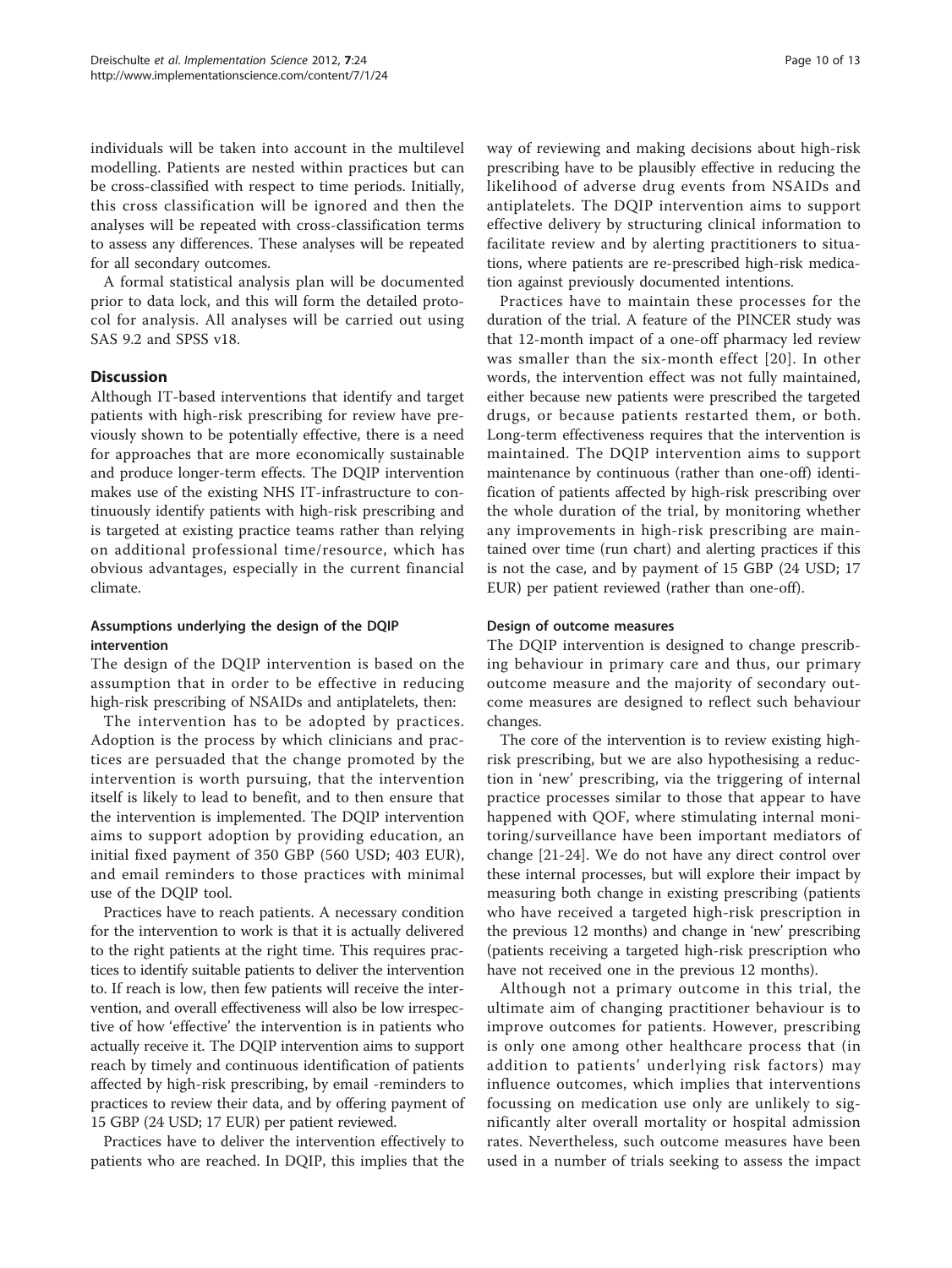individuals will be taken into account in the multilevel modelling. Patients are nested within practices but can be cross-classified with respect to time periods. Initially, this cross classification will be ignored and then the analyses will be repeated with cross-classification terms to assess any differences. These analyses will be repeated for all secondary outcomes.

A formal statistical analysis plan will be documented prior to data lock, and this will form the detailed protocol for analysis. All analyses will be carried out using SAS 9.2 and SPSS v18.

### **Discussion**

Although IT-based interventions that identify and target patients with high-risk prescribing for review have previously shown to be potentially effective, there is a need for approaches that are more economically sustainable and produce longer-term effects. The DQIP intervention makes use of the existing NHS IT-infrastructure to continuously identify patients with high-risk prescribing and is targeted at existing practice teams rather than relying on additional professional time/resource, which has obvious advantages, especially in the current financial climate.

### Assumptions underlying the design of the DQIP intervention

The design of the DQIP intervention is based on the assumption that in order to be effective in reducing high-risk prescribing of NSAIDs and antiplatelets, then:

The intervention has to be adopted by practices. Adoption is the process by which clinicians and practices are persuaded that the change promoted by the intervention is worth pursuing, that the intervention itself is likely to lead to benefit, and to then ensure that the intervention is implemented. The DQIP intervention aims to support adoption by providing education, an initial fixed payment of 350 GBP (560 USD; 403 EUR), and email reminders to those practices with minimal use of the DQIP tool.

Practices have to reach patients. A necessary condition for the intervention to work is that it is actually delivered to the right patients at the right time. This requires practices to identify suitable patients to deliver the intervention to. If reach is low, then few patients will receive the intervention, and overall effectiveness will also be low irrespective of how 'effective' the intervention is in patients who actually receive it. The DQIP intervention aims to support reach by timely and continuous identification of patients affected by high-risk prescribing, by email -reminders to practices to review their data, and by offering payment of 15 GBP (24 USD; 17 EUR) per patient reviewed.

Practices have to deliver the intervention effectively to patients who are reached. In DQIP, this implies that the

prescribing have to be plausibly effective in reducing the likelihood of adverse drug events from NSAIDs and antiplatelets. The DQIP intervention aims to support effective delivery by structuring clinical information to facilitate review and by alerting practitioners to situations, where patients are re-prescribed high-risk medication against previously documented intentions.

Practices have to maintain these processes for the duration of the trial. A feature of the PINCER study was that 12-month impact of a one-off pharmacy led review was smaller than the six-month effect [[20\]](#page-12-0). In other words, the intervention effect was not fully maintained, either because new patients were prescribed the targeted drugs, or because patients restarted them, or both. Long-term effectiveness requires that the intervention is maintained. The DQIP intervention aims to support maintenance by continuous (rather than one-off) identification of patients affected by high-risk prescribing over the whole duration of the trial, by monitoring whether any improvements in high-risk prescribing are maintained over time (run chart) and alerting practices if this is not the case, and by payment of 15 GBP (24 USD; 17 EUR) per patient reviewed (rather than one-off).

### Design of outcome measures

The DQIP intervention is designed to change prescribing behaviour in primary care and thus, our primary outcome measure and the majority of secondary outcome measures are designed to reflect such behaviour changes.

The core of the intervention is to review existing highrisk prescribing, but we are also hypothesising a reduction in 'new' prescribing, via the triggering of internal practice processes similar to those that appear to have happened with QOF, where stimulating internal monitoring/surveillance have been important mediators of change [\[21](#page-12-0)-[24\]](#page-12-0). We do not have any direct control over these internal processes, but will explore their impact by measuring both change in existing prescribing (patients who have received a targeted high-risk prescription in the previous 12 months) and change in 'new' prescribing (patients receiving a targeted high-risk prescription who have not received one in the previous 12 months).

Although not a primary outcome in this trial, the ultimate aim of changing practitioner behaviour is to improve outcomes for patients. However, prescribing is only one among other healthcare process that (in addition to patients' underlying risk factors) may influence outcomes, which implies that interventions focussing on medication use only are unlikely to significantly alter overall mortality or hospital admission rates. Nevertheless, such outcome measures have been used in a number of trials seeking to assess the impact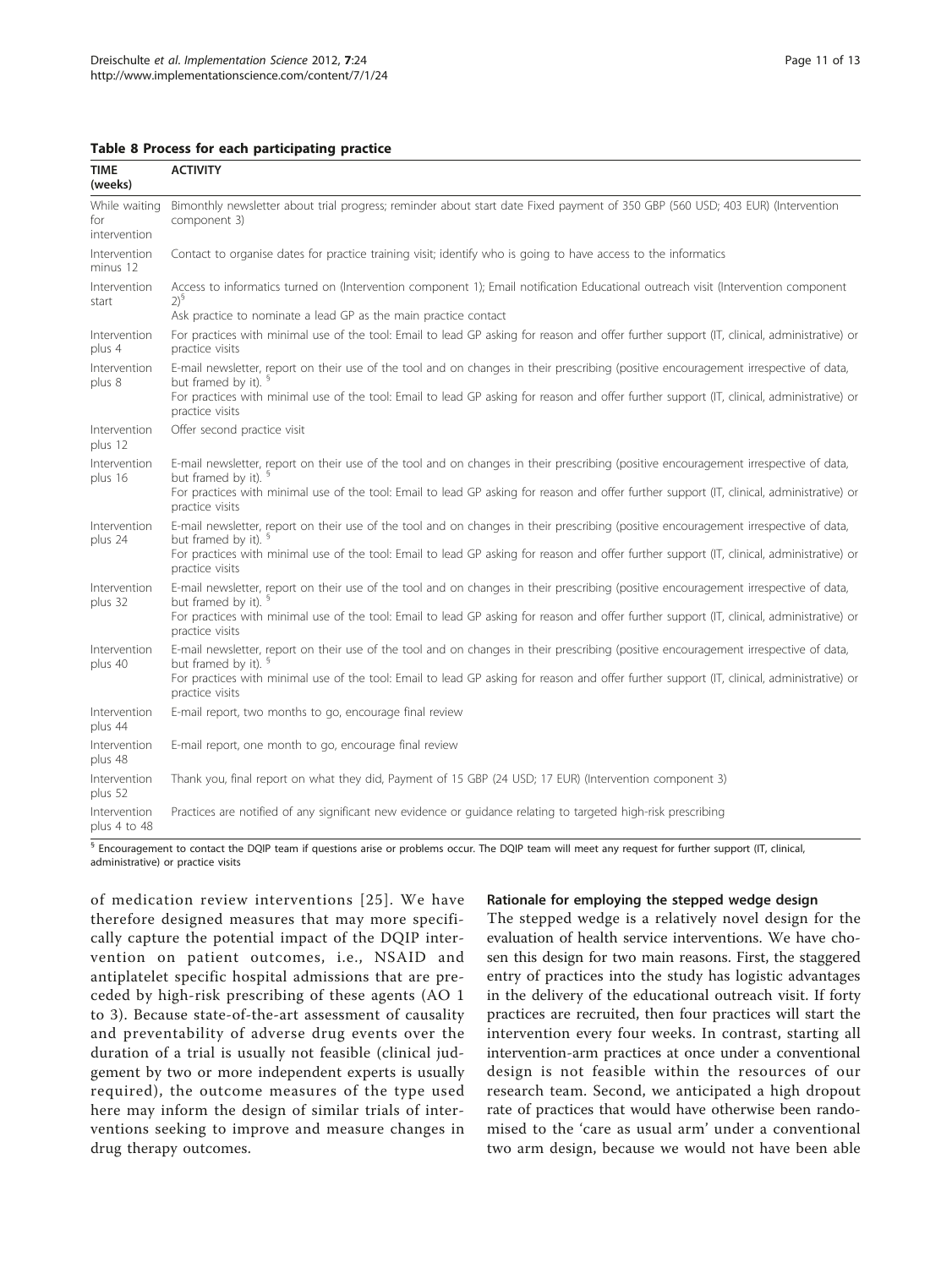| <b>TIME</b><br>(weeks)               | <b>ACTIVITY</b>                                                                                                                                                                                                                                                                                                                          |
|--------------------------------------|------------------------------------------------------------------------------------------------------------------------------------------------------------------------------------------------------------------------------------------------------------------------------------------------------------------------------------------|
| While waiting<br>for<br>intervention | Bimonthly newsletter about trial progress; reminder about start date Fixed payment of 350 GBP (560 USD; 403 EUR) (Intervention<br>component 3)                                                                                                                                                                                           |
| Intervention<br>minus 12             | Contact to organise dates for practice training visit; identify who is going to have access to the informatics                                                                                                                                                                                                                           |
| Intervention<br>start                | Access to informatics turned on (Intervention component 1); Email notification Educational outreach visit (Intervention component<br>$(2)^{5}$<br>Ask practice to nominate a lead GP as the main practice contact                                                                                                                        |
| Intervention<br>plus 4               | For practices with minimal use of the tool: Email to lead GP asking for reason and offer further support (IT, clinical, administrative) or<br>practice visits                                                                                                                                                                            |
| Intervention<br>plus 8               | E-mail newsletter, report on their use of the tool and on changes in their prescribing (positive encouragement irrespective of data,<br>but framed by it). <sup>5</sup><br>For practices with minimal use of the tool: Email to lead GP asking for reason and offer further support (IT, clinical, administrative) or<br>practice visits |
| Intervention<br>plus 12              | Offer second practice visit                                                                                                                                                                                                                                                                                                              |
| Intervention<br>plus 16              | E-mail newsletter, report on their use of the tool and on changes in their prescribing (positive encouragement irrespective of data,<br>but framed by it). <sup>§</sup><br>For practices with minimal use of the tool: Email to lead GP asking for reason and offer further support (IT, clinical, administrative) or<br>practice visits |
| Intervention<br>plus 24              | E-mail newsletter, report on their use of the tool and on changes in their prescribing (positive encouragement irrespective of data,<br>but framed by it). <sup>s</sup><br>For practices with minimal use of the tool: Email to lead GP asking for reason and offer further support (IT, clinical, administrative) or<br>practice visits |
| Intervention<br>plus 32              | E-mail newsletter, report on their use of the tool and on changes in their prescribing (positive encouragement irrespective of data,<br>but framed by it). <sup>§</sup><br>For practices with minimal use of the tool: Email to lead GP asking for reason and offer further support (IT, clinical, administrative) or<br>practice visits |
| Intervention<br>plus 40              | E-mail newsletter, report on their use of the tool and on changes in their prescribing (positive encouragement irrespective of data,<br>but framed by it). <sup>§</sup><br>For practices with minimal use of the tool: Email to lead GP asking for reason and offer further support (IT, clinical, administrative) or<br>practice visits |
| Intervention<br>plus 44              | E-mail report, two months to go, encourage final review                                                                                                                                                                                                                                                                                  |
| Intervention<br>plus 48              | E-mail report, one month to go, encourage final review                                                                                                                                                                                                                                                                                   |
| Intervention<br>plus 52              | Thank you, final report on what they did, Payment of 15 GBP (24 USD; 17 EUR) (Intervention component 3)                                                                                                                                                                                                                                  |
| Intervention<br>plus 4 to 48         | Practices are notified of any significant new evidence or guidance relating to targeted high-risk prescribing                                                                                                                                                                                                                            |

#### <span id="page-10-0"></span>Table 8 Process for each participating practice

§ Encouragement to contact the DQIP team if questions arise or problems occur. The DQIP team will meet any request for further support (IT, clinical, administrative) or practice visits

of medication review interventions [[25](#page-12-0)]. We have therefore designed measures that may more specifically capture the potential impact of the DQIP intervention on patient outcomes, i.e., NSAID and antiplatelet specific hospital admissions that are preceded by high-risk prescribing of these agents (AO 1 to 3). Because state-of-the-art assessment of causality and preventability of adverse drug events over the duration of a trial is usually not feasible (clinical judgement by two or more independent experts is usually required), the outcome measures of the type used here may inform the design of similar trials of interventions seeking to improve and measure changes in drug therapy outcomes.

#### Rationale for employing the stepped wedge design

The stepped wedge is a relatively novel design for the evaluation of health service interventions. We have chosen this design for two main reasons. First, the staggered entry of practices into the study has logistic advantages in the delivery of the educational outreach visit. If forty practices are recruited, then four practices will start the intervention every four weeks. In contrast, starting all intervention-arm practices at once under a conventional design is not feasible within the resources of our research team. Second, we anticipated a high dropout rate of practices that would have otherwise been randomised to the 'care as usual arm' under a conventional two arm design, because we would not have been able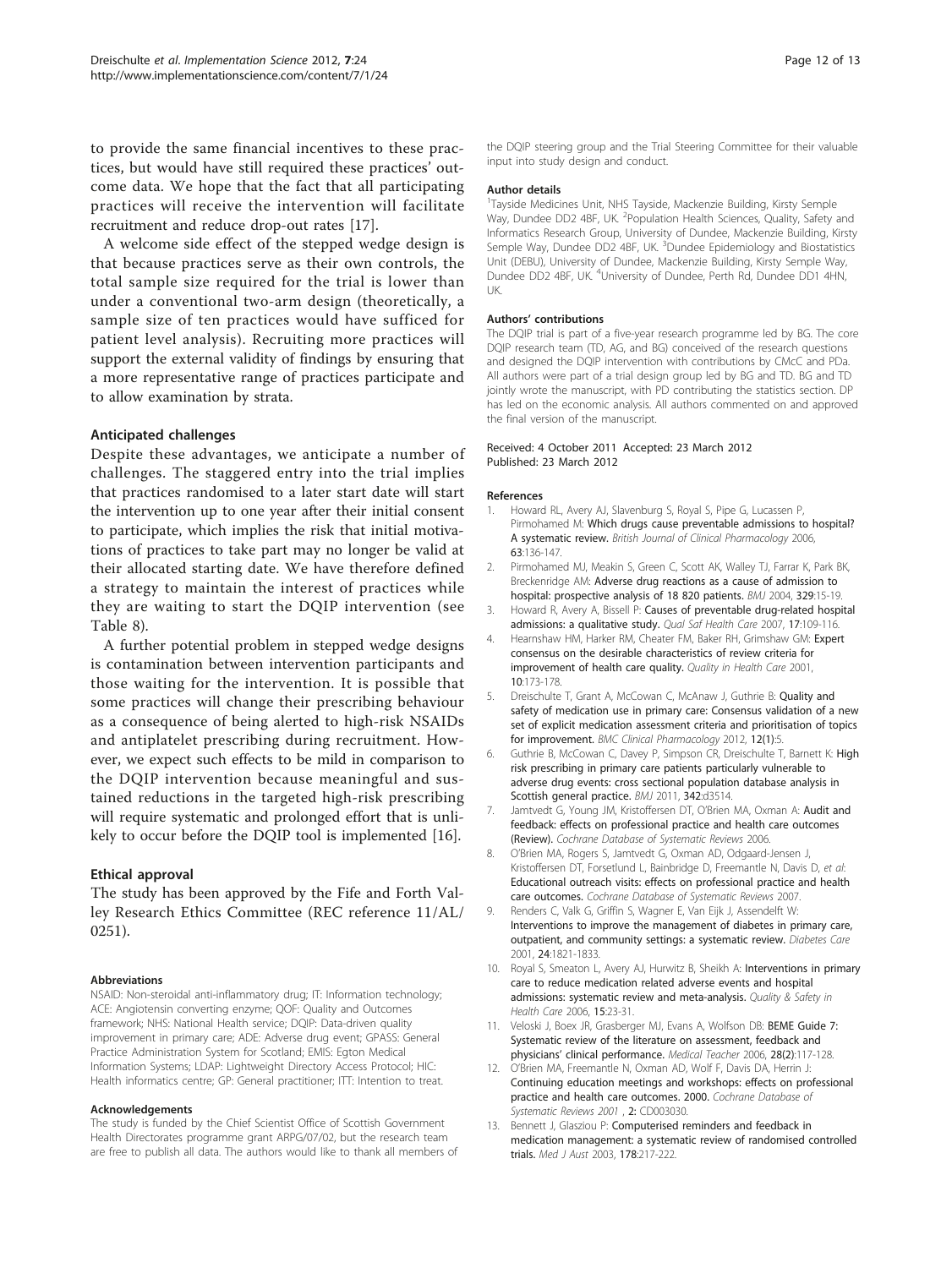<span id="page-11-0"></span>to provide the same financial incentives to these practices, but would have still required these practices' outcome data. We hope that the fact that all participating practices will receive the intervention will facilitate recruitment and reduce drop-out rates [[17\]](#page-12-0).

A welcome side effect of the stepped wedge design is that because practices serve as their own controls, the total sample size required for the trial is lower than under a conventional two-arm design (theoretically, a sample size of ten practices would have sufficed for patient level analysis). Recruiting more practices will support the external validity of findings by ensuring that a more representative range of practices participate and to allow examination by strata.

### Anticipated challenges

Despite these advantages, we anticipate a number of challenges. The staggered entry into the trial implies that practices randomised to a later start date will start the intervention up to one year after their initial consent to participate, which implies the risk that initial motivations of practices to take part may no longer be valid at their allocated starting date. We have therefore defined a strategy to maintain the interest of practices while they are waiting to start the DQIP intervention (see Table [8\)](#page-10-0).

A further potential problem in stepped wedge designs is contamination between intervention participants and those waiting for the intervention. It is possible that some practices will change their prescribing behaviour as a consequence of being alerted to high-risk NSAIDs and antiplatelet prescribing during recruitment. However, we expect such effects to be mild in comparison to the DQIP intervention because meaningful and sustained reductions in the targeted high-risk prescribing will require systematic and prolonged effort that is unlikely to occur before the DQIP tool is implemented [[16](#page-12-0)].

### Ethical approval

The study has been approved by the Fife and Forth Valley Research Ethics Committee (REC reference 11/AL/ 0251).

#### Abbreviations

NSAID: Non-steroidal anti-inflammatory drug; IT: Information technology; ACE: Angiotensin converting enzyme; QOF: Quality and Outcomes framework; NHS: National Health service; DQIP: Data-driven quality improvement in primary care; ADE: Adverse drug event; GPASS: General Practice Administration System for Scotland; EMIS: Egton Medical Information Systems; LDAP: Lightweight Directory Access Protocol; HIC: Health informatics centre; GP: General practitioner; ITT: Intention to treat.

#### Acknowledgements

The study is funded by the Chief Scientist Office of Scottish Government Health Directorates programme grant ARPG/07/02, but the research team are free to publish all data. The authors would like to thank all members of

the DQIP steering group and the Trial Steering Committee for their valuable input into study design and conduct.

#### Author details

<sup>1</sup>Tayside Medicines Unit, NHS Tayside, Mackenzie Building, Kirsty Semple Way, Dundee DD2 4BF, UK. <sup>2</sup>Population Health Sciences, Quality, Safety and Informatics Research Group, University of Dundee, Mackenzie Building, Kirsty Semple Way, Dundee DD2 4BF, UK. <sup>3</sup>Dundee Epidemiology and Biostatistics Unit (DEBU), University of Dundee, Mackenzie Building, Kirsty Semple Way, Dundee DD2 4BF, UK. <sup>4</sup>University of Dundee, Perth Rd, Dundee DD1 4HN UK.

#### Authors' contributions

The DQIP trial is part of a five-year research programme led by BG. The core DQIP research team (TD, AG, and BG) conceived of the research questions and designed the DQIP intervention with contributions by CMcC and PDa. All authors were part of a trial design group led by BG and TD. BG and TD jointly wrote the manuscript, with PD contributing the statistics section. DP has led on the economic analysis. All authors commented on and approved the final version of the manuscript.

#### Received: 4 October 2011 Accepted: 23 March 2012 Published: 23 March 2012

#### References

- 1. Howard RL, Avery AJ, Slavenburg S, Royal S, Pipe G, Lucassen P, Pirmohamed M: [Which drugs cause preventable admissions to hospital?](http://www.ncbi.nlm.nih.gov/pubmed/16803468?dopt=Abstract) [A systematic review.](http://www.ncbi.nlm.nih.gov/pubmed/16803468?dopt=Abstract) British Journal of Clinical Pharmacology 2006, 63:136-147.
- 2. Pirmohamed MJ, Meakin S, Green C, Scott AK, Walley TJ, Farrar K, Park BK, Breckenridge AM: [Adverse drug reactions as a cause of admission to](http://www.ncbi.nlm.nih.gov/pubmed/15231615?dopt=Abstract) [hospital: prospective analysis of 18 820 patients.](http://www.ncbi.nlm.nih.gov/pubmed/15231615?dopt=Abstract) BMJ 2004, 329:15-19.
- 3. Howard R, Avery A, Bissell P: Causes of preventable drug-related hospital admissions: a qualitative study. Qual Saf Health Care 2007, 17:109-116.
- 4. Hearnshaw HM, Harker RM, Cheater FM, Baker RH, Grimshaw GM: [Expert](http://www.ncbi.nlm.nih.gov/pubmed/11533425?dopt=Abstract) [consensus on the desirable characteristics of review criteria for](http://www.ncbi.nlm.nih.gov/pubmed/11533425?dopt=Abstract) [improvement of health care quality.](http://www.ncbi.nlm.nih.gov/pubmed/11533425?dopt=Abstract) Quality in Health Care 2001, 10:173-178.
- 5. Dreischulte T, Grant A, McCowan C, McAnaw J, Guthrie B: [Quality and](http://www.ncbi.nlm.nih.gov/pubmed/22316181?dopt=Abstract) [safety of medication use in primary care: Consensus validation of a new](http://www.ncbi.nlm.nih.gov/pubmed/22316181?dopt=Abstract) [set of explicit medication assessment criteria and prioritisation of topics](http://www.ncbi.nlm.nih.gov/pubmed/22316181?dopt=Abstract) [for improvement.](http://www.ncbi.nlm.nih.gov/pubmed/22316181?dopt=Abstract) BMC Clinical Pharmacology 2012, 12(1):5.
- 6. Guthrie B, McCowan C, Davey P, Simpson CR, Dreischulte T, Barnett K: [High](http://www.ncbi.nlm.nih.gov/pubmed/21693525?dopt=Abstract) [risk prescribing in primary care patients particularly vulnerable to](http://www.ncbi.nlm.nih.gov/pubmed/21693525?dopt=Abstract) [adverse drug events: cross sectional population database analysis in](http://www.ncbi.nlm.nih.gov/pubmed/21693525?dopt=Abstract) [Scottish general practice.](http://www.ncbi.nlm.nih.gov/pubmed/21693525?dopt=Abstract) BMJ 2011, 342:d3514.
- Jamtvedt G, Young JM, Kristoffersen DT, O'Brien MA, Oxman A: Audit and feedback: effects on professional practice and health care outcomes (Review). Cochrane Database of Systematic Reviews 2006.
- 8. O'Brien MA, Rogers S, Jamtvedt G, Oxman AD, Odgaard-Jensen J, Kristoffersen DT, Forsetlund L, Bainbridge D, Freemantle N, Davis D, et al: Educational outreach visits: effects on professional practice and health care outcomes. Cochrane Database of Systematic Reviews 2007.
- 9. Renders C, Valk G, Griffin S, Wagner E, Van Eijk J, Assendelft W: [Interventions to improve the management of diabetes in primary care,](http://www.ncbi.nlm.nih.gov/pubmed/11574449?dopt=Abstract) [outpatient, and community settings: a systematic review.](http://www.ncbi.nlm.nih.gov/pubmed/11574449?dopt=Abstract) Diabetes Care 2001, 24:1821-1833.
- 10. Royal S, Smeaton L, Avery AJ, Hurwitz B, Sheikh A: [Interventions in primary](http://www.ncbi.nlm.nih.gov/pubmed/22512035?dopt=Abstract) [care to reduce medication related adverse events and hospital](http://www.ncbi.nlm.nih.gov/pubmed/22512035?dopt=Abstract) [admissions: systematic review and meta-analysis.](http://www.ncbi.nlm.nih.gov/pubmed/22512035?dopt=Abstract) Quality & Safety in Health Care 2006, 15:23-31.
- 11. Veloski J, Boex JR, Grasberger MJ, Evans A, Wolfson DB: [BEME Guide 7:](http://www.ncbi.nlm.nih.gov/pubmed/16707292?dopt=Abstract) [Systematic review of the literature on assessment, feedback and](http://www.ncbi.nlm.nih.gov/pubmed/16707292?dopt=Abstract) physicians' [clinical performance.](http://www.ncbi.nlm.nih.gov/pubmed/16707292?dopt=Abstract) Medical Teacher 2006, 28(2):117-128.
- 12. O'Brien MA, Freemantle N, Oxman AD, Wolf F, Davis DA, Herrin J: Continuing education meetings and workshops: effects on professional practice and health care outcomes. 2000. Cochrane Database of Systematic Reviews 2001 , 2: CD003030.
- 13. Bennett J, Glasziou P: [Computerised reminders and feedback in](http://www.ncbi.nlm.nih.gov/pubmed/12603185?dopt=Abstract) [medication management: a systematic review of randomised controlled](http://www.ncbi.nlm.nih.gov/pubmed/12603185?dopt=Abstract) [trials.](http://www.ncbi.nlm.nih.gov/pubmed/12603185?dopt=Abstract) Med J Aust 2003, 178:217-222.